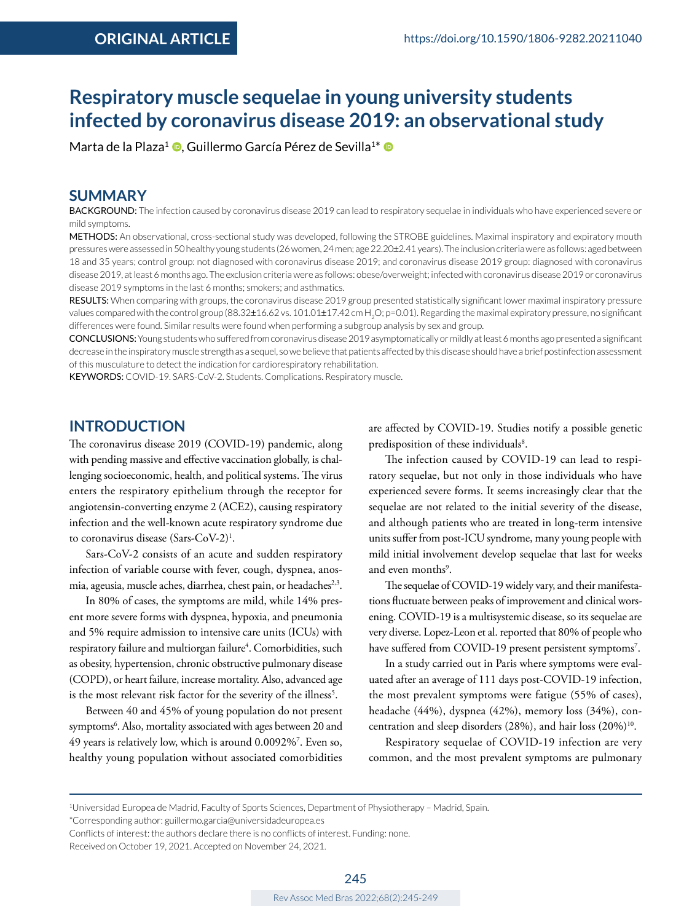# **Respiratory muscle sequelae in young university students infected by coronavirus disease 2019: an observational study**

Marta de la Plaza<sup>1</sup> **D**. Guillermo García Pérez de Sevilla<sup>1[\\*](https://orcid.org/0000-0002-2689-1767)</sup> D

# **SUMMARY**

BACKGROUND: The infection caused by coronavirus disease 2019 can lead to respiratory sequelae in individuals who have experienced severe or mild symptoms.

METHODS: An observational, cross-sectional study was developed, following the STROBE guidelines. Maximal inspiratory and expiratory mouth pressureswere assessed in 50 healthy young students (26 women, 24 men; age 22.20±2.41 years). The inclusion criteria were as follows: aged between 18 and 35 years; control group: not diagnosed with coronavirus disease 2019; and coronavirus disease 2019 group: diagnosed with coronavirus disease 2019, at least 6 months ago. The exclusion criteria were as follows: obese/overweight; infected with coronavirus disease 2019 or coronavirus disease 2019 symptoms in the last 6 months; smokers; and asthmatics.

RESULTS: When comparing with groups, the coronavirus disease 2019 group presented statistically significant lower maximal inspiratory pressure values compared with the control group (88.32±16.62 vs. 101.01±17.42 cm H<sub>2</sub>O; p=0.01). Regarding the maximal expiratory pressure, no significant differences were found. Similar results were found when performing a subgroup analysis by sex and group.

CONCLUSIONS: Young students who suffered from coronavirus disease 2019 asymptomatically or mildly at least 6 months ago presented a significant decrease in the inspiratory muscle strength as a sequel, so we believe that patients affected by this disease should have a brief postinfection assessment of this musculature to detect the indication for cardiorespiratory rehabilitation.

KEYWORDS: COVID-19. SARS-CoV-2. Students. Complications. Respiratory muscle.

### **INTRODUCTION**

The coronavirus disease 2019 (COVID-19) pandemic, along with pending massive and effective vaccination globally, is challenging socioeconomic, health, and political systems. The virus enters the respiratory epithelium through the receptor for angiotensin-converting enzyme 2 (ACE2), causing respiratory infection and the well-known acute respiratory syndrome due to coronavirus disease (Sars-CoV-2)1 .

Sars-CoV-2 consists of an acute and sudden respiratory infection of variable course with fever, cough, dyspnea, anosmia, ageusia, muscle aches, diarrhea, chest pain, or headaches<sup>2,3</sup>.

In 80% of cases, the symptoms are mild, while 14% present more severe forms with dyspnea, hypoxia, and pneumonia and 5% require admission to intensive care units (ICUs) with respiratory failure and multiorgan failure<sup>4</sup>. Comorbidities, such as obesity, hypertension, chronic obstructive pulmonary disease (COPD), or heart failure, increase mortality. Also, advanced age is the most relevant risk factor for the severity of the illness<sup>5</sup>.

Between 40 and 45% of young population do not present symptoms<sup>6</sup>. Also, mortality associated with ages between 20 and 49 years is relatively low, which is around 0.0092%7 . Even so, healthy young population without associated comorbidities

are affected by COVID-19. Studies notify a possible genetic predisposition of these individuals<sup>8</sup>.

The infection caused by COVID-19 can lead to respiratory sequelae, but not only in those individuals who have experienced severe forms. It seems increasingly clear that the sequelae are not related to the initial severity of the disease, and although patients who are treated in long-term intensive units suffer from post-ICU syndrome, many young people with mild initial involvement develop sequelae that last for weeks and even months<sup>9</sup>.

The sequelae of COVID-19 widely vary, and their manifestations fluctuate between peaks of improvement and clinical worsening. COVID-19 is a multisystemic disease, so its sequelae are very diverse. Lopez-Leon et al. reported that 80% of people who have suffered from COVID-19 present persistent symptoms<sup>7</sup>.

In a study carried out in Paris where symptoms were evaluated after an average of 111 days post-COVID-19 infection, the most prevalent symptoms were fatigue (55% of cases), headache (44%), dyspnea (42%), memory loss (34%), concentration and sleep disorders (28%), and hair loss (20%)<sup>10</sup>.

Respiratory sequelae of COVID-19 infection are very common, and the most prevalent symptoms are pulmonary

Conflicts of interest: the authors declare there is no conflicts of interest. Funding: none.

Received on October 19, 2021. Accepted on November 24, 2021.

<sup>1</sup>Universidad Europea de Madrid, Faculty of Sports Sciences, Department of Physiotherapy – Madrid, Spain.

<sup>\*</sup>Corresponding author: [guillermo.garcia@universidadeuropea.es](mailto:guillermo.garcia@universidadeuropea.es)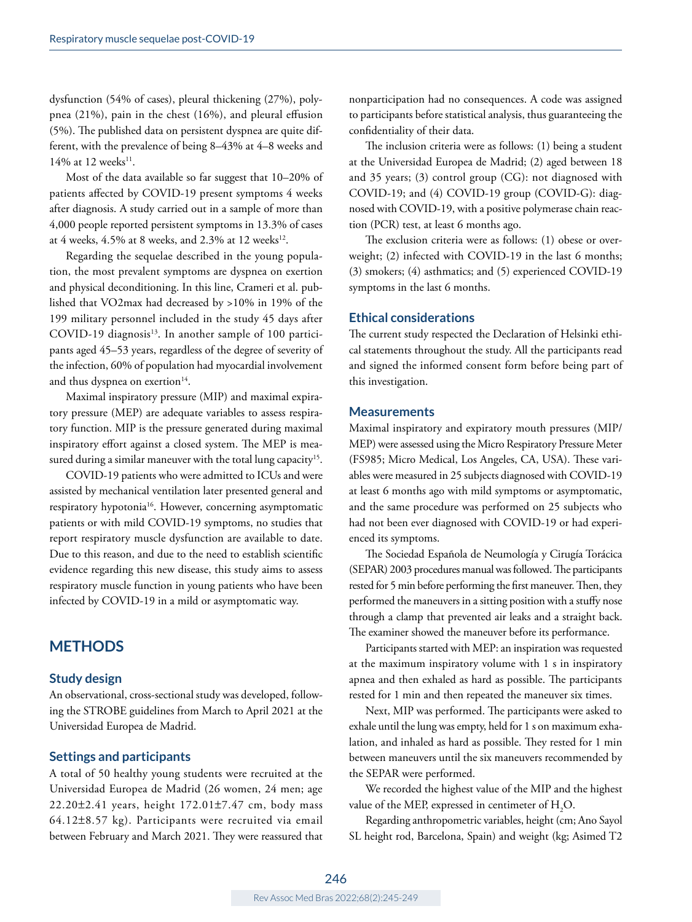dysfunction (54% of cases), pleural thickening (27%), polypnea (21%), pain in the chest (16%), and pleural effusion (5%). The published data on persistent dyspnea are quite different, with the prevalence of being 8–43% at 4–8 weeks and 14% at 12 weeks<sup>11</sup>.

Most of the data available so far suggest that 10–20% of patients affected by COVID-19 present symptoms 4 weeks after diagnosis. A study carried out in a sample of more than 4,000 people reported persistent symptoms in 13.3% of cases at 4 weeks,  $4.5\%$  at 8 weeks, and  $2.3\%$  at 12 weeks<sup>12</sup>.

Regarding the sequelae described in the young population, the most prevalent symptoms are dyspnea on exertion and physical deconditioning. In this line, Crameri et al. published that VO2max had decreased by >10% in 19% of the 199 military personnel included in the study 45 days after  $COVID-19$  diagnosis<sup>13</sup>. In another sample of 100 participants aged 45–53 years, regardless of the degree of severity of the infection, 60% of population had myocardial involvement and thus dyspnea on exertion $14$ .

Maximal inspiratory pressure (MIP) and maximal expiratory pressure (MEP) are adequate variables to assess respiratory function. MIP is the pressure generated during maximal inspiratory effort against a closed system. The MEP is measured during a similar maneuver with the total lung capacity<sup>15</sup>.

COVID-19 patients who were admitted to ICUs and were assisted by mechanical ventilation later presented general and respiratory hypotonia<sup>16</sup>. However, concerning asymptomatic patients or with mild COVID-19 symptoms, no studies that report respiratory muscle dysfunction are available to date. Due to this reason, and due to the need to establish scientific evidence regarding this new disease, this study aims to assess respiratory muscle function in young patients who have been infected by COVID-19 in a mild or asymptomatic way.

# **METHODS**

#### **Study design**

An observational, cross-sectional study was developed, following the STROBE guidelines from March to April 2021 at the Universidad Europea de Madrid.

#### **Settings and participants**

A total of 50 healthy young students were recruited at the Universidad Europea de Madrid (26 women, 24 men; age 22.20±2.41 years, height 172.01±7.47 cm, body mass 64.12±8.57 kg). Participants were recruited via email between February and March 2021. They were reassured that

nonparticipation had no consequences. A code was assigned to participants before statistical analysis, thus guaranteeing the confidentiality of their data.

The inclusion criteria were as follows: (1) being a student at the Universidad Europea de Madrid; (2) aged between 18 and 35 years; (3) control group (CG): not diagnosed with COVID-19; and (4) COVID-19 group (COVID-G): diagnosed with COVID-19, with a positive polymerase chain reaction (PCR) test, at least 6 months ago.

The exclusion criteria were as follows: (1) obese or overweight; (2) infected with COVID-19 in the last 6 months; (3) smokers; (4) asthmatics; and (5) experienced COVID-19 symptoms in the last 6 months.

#### **Ethical considerations**

The current study respected the Declaration of Helsinki ethical statements throughout the study. All the participants read and signed the informed consent form before being part of this investigation.

### **Measurements**

Maximal inspiratory and expiratory mouth pressures (MIP/ MEP) were assessed using the Micro Respiratory Pressure Meter (FS985; Micro Medical, Los Angeles, CA, USA). These variables were measured in 25 subjects diagnosed with COVID-19 at least 6 months ago with mild symptoms or asymptomatic, and the same procedure was performed on 25 subjects who had not been ever diagnosed with COVID-19 or had experienced its symptoms.

The Sociedad Española de Neumología y Cirugía Torácica (SEPAR) 2003 procedures manual was followed. The participants rested for 5 min before performing the first maneuver. Then, they performed the maneuvers in a sitting position with a stuffy nose through a clamp that prevented air leaks and a straight back. The examiner showed the maneuver before its performance.

Participants started with MEP: an inspiration was requested at the maximum inspiratory volume with 1 s in inspiratory apnea and then exhaled as hard as possible. The participants rested for 1 min and then repeated the maneuver six times.

Next, MIP was performed. The participants were asked to exhale until the lung was empty, held for 1 s on maximum exhalation, and inhaled as hard as possible. They rested for 1 min between maneuvers until the six maneuvers recommended by the SEPAR were performed.

We recorded the highest value of the MIP and the highest value of the MEP, expressed in centimeter of  $\mathrm{H}_{2}\mathrm{O}.$ 

Regarding anthropometric variables, height (cm; Ano Sayol SL height rod, Barcelona, Spain) and weight (kg; Asimed T2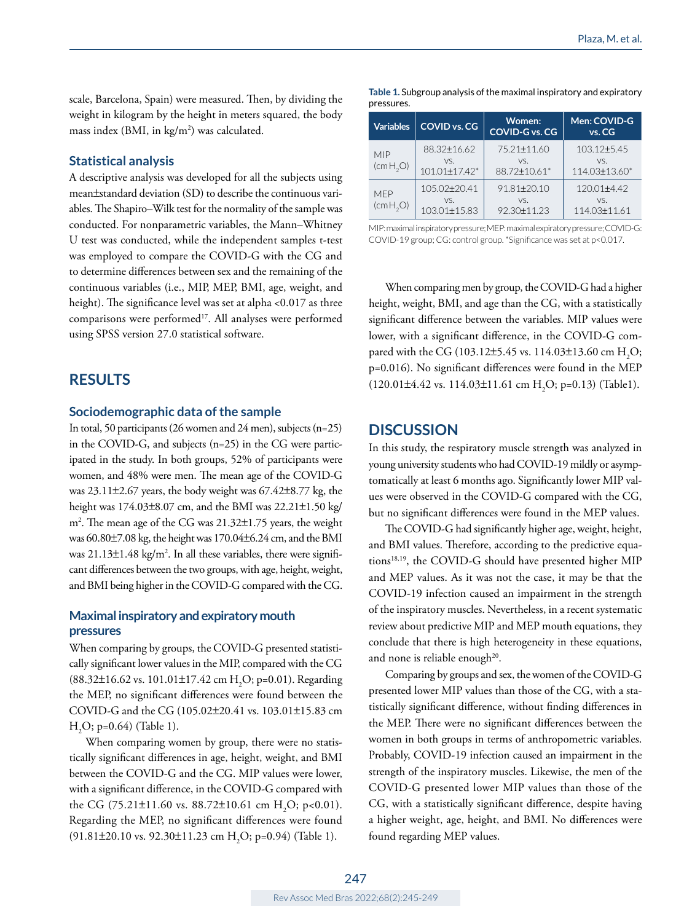scale, Barcelona, Spain) were measured. Then, by dividing the weight in kilogram by the height in meters squared, the body mass index (BMI, in kg/m<sup>2</sup>) was calculated.

#### **Statistical analysis**

A descriptive analysis was developed for all the subjects using mean±standard deviation (SD) to describe the continuous variables. The Shapiro–Wilk test for the normality of the sample was conducted. For nonparametric variables, the Mann–Whitney U test was conducted, while the independent samples t-test was employed to compare the COVID-G with the CG and to determine differences between sex and the remaining of the continuous variables (i.e., MIP, MEP, BMI, age, weight, and height). The significance level was set at alpha <0.017 as three comparisons were performed<sup>17</sup>. All analyses were performed using SPSS version 27.0 statistical software.

# **RESULTS**

#### **Sociodemographic data of the sample**

In total, 50 participants (26 women and 24 men), subjects (n=25) in the COVID-G, and subjects (n=25) in the CG were participated in the study. In both groups, 52% of participants were women, and 48% were men. The mean age of the COVID-G was 23.11±2.67 years, the body weight was 67.42±8.77 kg, the height was 174.03±8.07 cm, and the BMI was 22.21±1.50 kg/ m2 . The mean age of the CG was 21.32±1.75 years, the weight was 60.80±7.08 kg, the height was 170.04±6.24 cm, and the BMI was  $21.13\pm1.48$  kg/m<sup>2</sup>. In all these variables, there were significant differences between the two groups, with age, height, weight, and BMI being higher in the COVID-G compared with the CG.

#### **Maximal inspiratory and expiratory mouth pressures**

When comparing by groups, the COVID-G presented statistically significant lower values in the MIP, compared with the CG  $(88.32 \pm 16.62 \text{ vs. } 101.01 \pm 17.42 \text{ cm H}_2O; p=0.01)$ . Regarding the MEP, no significant differences were found between the COVID-G and the CG (105.02±20.41 vs. 103.01±15.83 cm  $H<sub>2</sub>O$ ; p=0.64) (Table 1).

When comparing women by group, there were no statistically significant differences in age, height, weight, and BMI between the COVID-G and the CG. MIP values were lower, with a significant difference, in the COVID-G compared with the CG (75.21 $\pm$ 11.60 vs. 88.72 $\pm$ 10.61 cm H<sub>2</sub>O; p<0.01). Regarding the MEP, no significant differences were found  $(91.81 \pm 20.10 \text{ vs. } 92.30 \pm 11.23 \text{ cm H}_2\text{O}; \text{p=0.94})$  (Table 1).

| pressures.                         |                                                       |                                         |                                        |
|------------------------------------|-------------------------------------------------------|-----------------------------------------|----------------------------------------|
| <b>Variables</b>                   | <b>COVID vs. CG</b>                                   | Women:<br><b>COVID-G vs. CG</b>         | Men: COVID-G<br>vs. CG                 |
| <b>MIP</b><br>(cmH <sub>2</sub> O) | 88.32±16.62<br>VS.<br>$101.01 \pm 17.42$ <sup>*</sup> | 75.21±11.60<br>VS.<br>88.72±10.61*      | 103.12±5.45<br>VS.<br>114.03±13.60*    |
| <b>MFP</b><br>(cmH <sub>2</sub> O) | $105.02 + 20.41$<br>VS.<br>103.01±15.83               | $91.81 \pm 20.10$<br>VS.<br>92.30±11.23 | $120.01 + 4.42$<br>VS.<br>114.03±11.61 |

**Table 1.** Subgroup analysis of the maximal inspiratory and expiratory

MIP: maximal inspiratory pressure; MEP: maximal expiratory pressure; COVID-G: COVID-19 group; CG: control group. \*Significance was set at p<0.017.

When comparing men by group, the COVID-G had a higher height, weight, BMI, and age than the CG, with a statistically significant difference between the variables. MIP values were lower, with a significant difference, in the COVID-G compared with the CG (103.12±5.45 vs. 114.03±13.60 cm  $H_2O$ ; p=0.016). No significant differences were found in the MEP  $(120.01\pm4.42 \text{ vs. } 114.03\pm11.61 \text{ cm H}_2\text{O}; \text{p=0.13})$  (Table1).

#### **DISCUSSION**

In this study, the respiratory muscle strength was analyzed in young university students who had COVID-19 mildly or asymptomatically at least 6 months ago. Significantly lower MIP values were observed in the COVID-G compared with the CG, but no significant differences were found in the MEP values.

The COVID-G had significantly higher age, weight, height, and BMI values. Therefore, according to the predictive equations<sup>18,19</sup>, the COVID-G should have presented higher MIP and MEP values. As it was not the case, it may be that the COVID-19 infection caused an impairment in the strength of the inspiratory muscles. Nevertheless, in a recent systematic review about predictive MIP and MEP mouth equations, they conclude that there is high heterogeneity in these equations, and none is reliable enough $^{20}$ .

Comparing by groups and sex, the women of the COVID-G presented lower MIP values than those of the CG, with a statistically significant difference, without finding differences in the MEP. There were no significant differences between the women in both groups in terms of anthropometric variables. Probably, COVID-19 infection caused an impairment in the strength of the inspiratory muscles. Likewise, the men of the COVID-G presented lower MIP values than those of the CG, with a statistically significant difference, despite having a higher weight, age, height, and BMI. No differences were found regarding MEP values.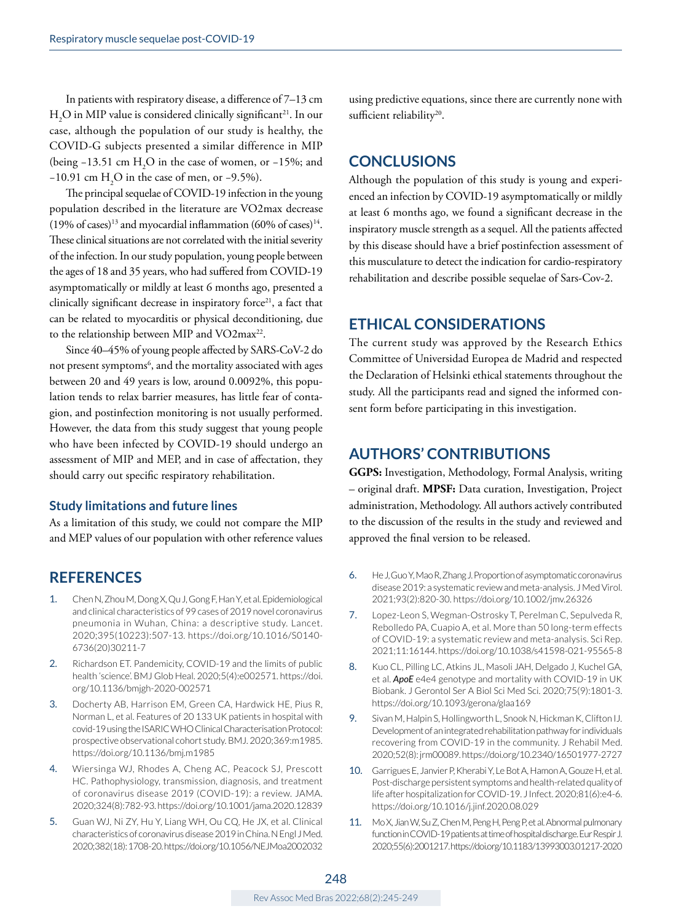In patients with respiratory disease, a difference of 7–13 cm  $H<sub>2</sub>O$  in MIP value is considered clinically significant<sup>21</sup>. In our case, although the population of our study is healthy, the COVID-G subjects presented a similar difference in MIP (being  $-13.51$  cm H<sub>2</sub>O in the case of women, or  $-15\%$ ; and −10.91 cm H<sub>2</sub>O in the case of men, or −9.5%).

The principal sequelae of COVID-19 infection in the young population described in the literature are VO2max decrease  $(19\% \text{ of cases})^{13}$  and myocardial inflammation  $(60\% \text{ of cases})^{14}$ . These clinical situations are not correlated with the initial severity of the infection. In our study population, young people between the ages of 18 and 35 years, who had suffered from COVID-19 asymptomatically or mildly at least 6 months ago, presented a clinically significant decrease in inspiratory force<sup>21</sup>, a fact that can be related to myocarditis or physical deconditioning, due to the relationship between MIP and VO2max<sup>22</sup>.

Since 40–45% of young people affected by SARS-CoV-2 do not present symptoms $^6$ , and the mortality associated with ages between 20 and 49 years is low, around 0.0092%, this population tends to relax barrier measures, has little fear of contagion, and postinfection monitoring is not usually performed. However, the data from this study suggest that young people who have been infected by COVID-19 should undergo an assessment of MIP and MEP, and in case of affectation, they should carry out specific respiratory rehabilitation.

#### **Study limitations and future lines**

As a limitation of this study, we could not compare the MIP and MEP values of our population with other reference values

### **REFERENCES**

- 1. Chen N, Zhou M, Dong X, Qu J, Gong F, Han Y, et al. Epidemiological and clinical characteristics of 99 cases of 2019 novel coronavirus pneumonia in Wuhan, China: a descriptive study. Lancet. 2020;395(10223):507-13. [https://doi.org/10.1016/S0140-](https://doi.org/10.1016/S0140-6736(20)30211-7) [6736\(20\)30211-7](https://doi.org/10.1016/S0140-6736(20)30211-7)
- 2. Richardson ET. Pandemicity, COVID-19 and the limits of public health 'science'. BMJ Glob Heal. 2020;5(4):e002571. [https://doi.](https://doi.org/10.1136/bmjgh-2020-002571) [org/10.1136/bmjgh-2020-002571](https://doi.org/10.1136/bmjgh-2020-002571)
- 3. Docherty AB, Harrison EM, Green CA, Hardwick HE, Pius R, Norman L, et al. Features of 20 133 UK patients in hospital with covid-19 using the ISARIC WHO Clinical Characterisation Protocol: prospective observational cohort study. BMJ. 2020;369:m1985. <https://doi.org/10.1136/bmj.m1985>
- 4. Wiersinga WJ, Rhodes A, Cheng AC, Peacock SJ, Prescott HC. Pathophysiology, transmission, diagnosis, and treatment of coronavirus disease 2019 (COVID-19): a review. JAMA. 2020;324(8):782-93. <https://doi.org/10.1001/jama.2020.12839>
- 5. Guan WJ, Ni ZY, Hu Y, Liang WH, Ou CQ, He JX, et al. Clinical characteristics of coronavirus disease 2019 in China. N Engl J Med. 2020;382(18): 1708-20.<https://doi.org/10.1056/NEJMoa2002032>

using predictive equations, since there are currently none with sufficient reliability<sup>20</sup>.

### **CONCLUSIONS**

Although the population of this study is young and experienced an infection by COVID-19 asymptomatically or mildly at least 6 months ago, we found a significant decrease in the inspiratory muscle strength as a sequel. All the patients affected by this disease should have a brief postinfection assessment of this musculature to detect the indication for cardio-respiratory rehabilitation and describe possible sequelae of Sars-Cov-2.

# **ETHICAL CONSIDERATIONS**

The current study was approved by the Research Ethics Committee of Universidad Europea de Madrid and respected the Declaration of Helsinki ethical statements throughout the study. All the participants read and signed the informed consent form before participating in this investigation.

# **AUTHORS' CONTRIBUTIONS**

**GGPS:** Investigation, Methodology, Formal Analysis, writing – original draft. **MPSF:** Data curation, Investigation, Project administration, Methodology. All authors actively contributed to the discussion of the results in the study and reviewed and approved the final version to be released.

- 6. He J, Guo Y, Mao R, Zhang J. Proportion of asymptomatic coronavirus disease 2019: a systematic review and meta-analysis. J Med Virol. 2021;93(2):820-30.<https://doi.org/10.1002/jmv.26326>
- 7. Lopez-Leon S, Wegman-Ostrosky T, Perelman C, Sepulveda R, Rebolledo PA, Cuapio A, et al. More than 50 long-term effects of COVID-19: a systematic review and meta-analysis. Sci Rep. 2021;11:16144.<https://doi.org/10.1038/s41598-021-95565-8>
- 8. Kuo CL, Pilling LC, Atkins JL, Masoli JAH, Delgado J, Kuchel GA, et al. *ApoE* e4e4 genotype and mortality with COVID-19 in UK Biobank. J Gerontol Ser A Biol Sci Med Sci. 2020;75(9):1801-3. <https://doi.org/10.1093/gerona/glaa169>
- 9. Sivan M, Halpin S, Hollingworth L, Snook N, Hickman K, Clifton IJ. Development of an integrated rehabilitation pathway for individuals recovering from COVID-19 in the community. J Rehabil Med. 2020;52(8): jrm00089.<https://doi.org/10.2340/16501977-2727>
- 10. Garrigues E, Janvier P, Kherabi Y, Le Bot A, Hamon A, Gouze H, et al. Post-discharge persistent symptoms and health-related quality of life after hospitalization for COVID-19. J Infect. 2020;81(6):e4-6. <https://doi.org/10.1016/j.jinf.2020.08.029>
- 11. Mo X, Jian W, Su Z, Chen M, Peng H, Peng P, et al. Abnormal pulmonary function in COVID-19 patients at time of hospital discharge. Eur Respir J. 2020;55(6):2001217.<https://doi.org/10.1183/13993003.01217-2020>